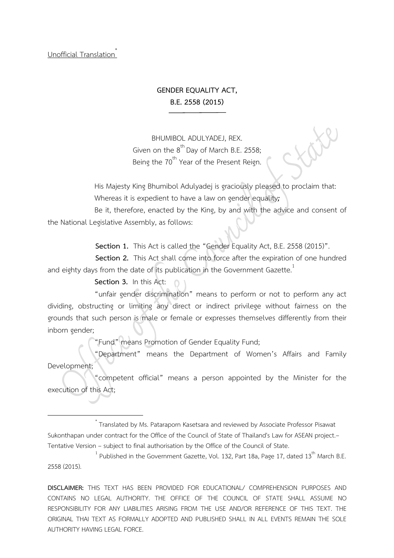Unofficial Translation\*

# **GENDER EQUALITY ACT, B.E. 2558 (2015)**

BHUMIBOL ADULYADEJ, REX. Given on the  $8^{th}$  Day of March B.E. 2558; Being the 70<sup>th</sup> Year of the Present Reign.

His Majesty King Bhumibol Adulyadej is graciously pleased to proclaim that: Whereas it is expedient to have a law on gender equality*;*

Be it, therefore, enacted by the King, by and with the advice and consent of the National Legislative Assembly, as follows:

**Section 1.** This Act is called the "Gender Equality Act, B.E. 2558 (2015)".

**Section 2.** This Act shall come into force after the expiration of one hundred and eighty days from the date of its publication in the Government Gazette.<sup>1</sup>

### **Section 3.** In this Act:

"unfair gender discrimination" means to perform or not to perform any act dividing, obstructing or limiting any direct or indirect privilege without fairness on the grounds that such person is male or female or expresses themselves differently from their inborn gender;

"Fund" means Promotion of Gender Equality Fund;

"Department" means the Department of Women's Affairs and Family Development;

"competent official" means a person appointed by the Minister for the execution of this Act;

 \* Translated by Ms. Pataraporn Kasetsara and reviewed by Associate Professor Pisawat Sukonthapan under contract for the Office of the Council of State of Thailand's Law for ASEAN project.– Tentative Version – subject to final authorisation by the Office of the Council of State. <sup>1</sup>

 $^{-1}$  Published in the Government Gazette, Vol. 132, Part 18a, Page 17, dated 13<sup>th</sup> March B.E. 2558 (2015).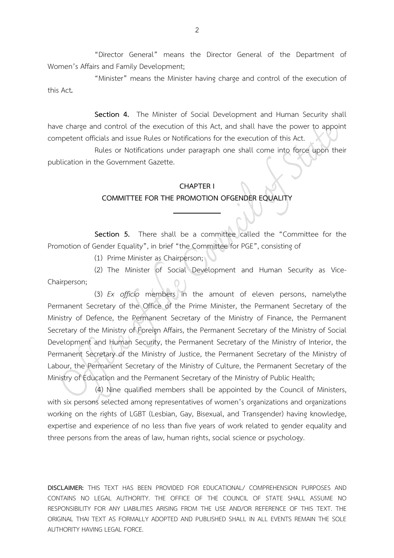"Director General" means the Director General of the Department of Women's Affairs and Family Development;

"Minister" means the Minister having charge and control of the execution of this Act*.*

**Section 4.** The Minister of Social Development and Human Security shall have charge and control of the execution of this Act, and shall have the power to appoint competent officials and issue Rules or Notifications for the execution of this Act.

Rules or Notifications under paragraph one shall come into force upon their publication in the Government Gazette.

#### **CHAPTER I**

#### **COMMITTEE FOR THE PROMOTION OFGENDER EQUALITY**

**Section 5.** There shall be a committee called the "Committee for the Promotion of Gender Equality", in brief "the Committee for PGE", consisting of

(1) Prime Minister as Chairperson;

(2) The Minister of Social Development and Human Security as Vice-Chairperson;

(3) *Ex officio* members in the amount of eleven persons, namelythe Permanent Secretary of the Office of the Prime Minister, the Permanent Secretary of the Ministry of Defence, the Permanent Secretary of the Ministry of Finance, the Permanent Secretary of the Ministry of Foreign Affairs, the Permanent Secretary of the Ministry of Social Development and Human Security, the Permanent Secretary of the Ministry of Interior, the Permanent Secretary of the Ministry of Justice, the Permanent Secretary of the Ministry of Labour, the Permanent Secretary of the Ministry of Culture, the Permanent Secretary of the Ministry of Education and the Permanent Secretary of the Ministry of Public Health;

(4) Nine qualified members shall be appointed by the Council of Ministers, with six persons selected among representatives of women's organizations and organizations working on the rights of LGBT (Lesbian, Gay, Bisexual, and Transgender) having knowledge, expertise and experience of no less than five years of work related to gender equality and three persons from the areas of law, human rights, social science or psychology.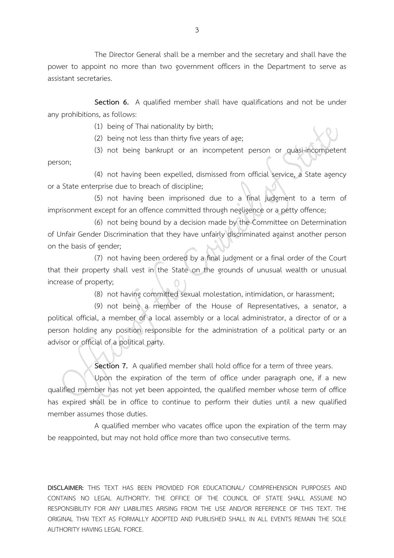The Director General shall be a member and the secretary and shall have the power to appoint no more than two government officers in the Department to serve as assistant secretaries.

**Section 6.** A qualified member shall have qualifications and not be under any prohibitions, as follows:

(1) being of Thai nationality by birth;

(2) being not less than thirty five years of age;

(3) not being bankrupt or an incompetent person or quasi-incompetent person;

(4) not having been expelled, dismissed from official service, a State agency or a State enterprise due to breach of discipline;

(5) not having been imprisoned due to a final judgment to a term of imprisonment except for an offence committed through negligence or a petty offence;

(6) not being bound by a decision made by the Committee on Determination of Unfair Gender Discrimination that they have unfairly discriminated against another person on the basis of gender;

(7) not having been ordered by a final judgment or a final order of the Court that their property shall vest in the State on the grounds of unusual wealth or unusual increase of property;

(8) not having committed sexual molestation, intimidation, or harassment;

(9) not being a member of the House of Representatives, a senator, a political official, a member of a local assembly or a local administrator, a director of or a person holding any position responsible for the administration of a political party or an advisor or official of a political party.

**Section 7.** A qualified member shall hold office for a term of three years.

Upon the expiration of the term of office under paragraph one, if a new qualified member has not yet been appointed, the qualified member whose term of office has expired shall be in office to continue to perform their duties until a new qualified member assumes those duties.

A qualified member who vacates office upon the expiration of the term may be reappointed, but may not hold office more than two consecutive terms.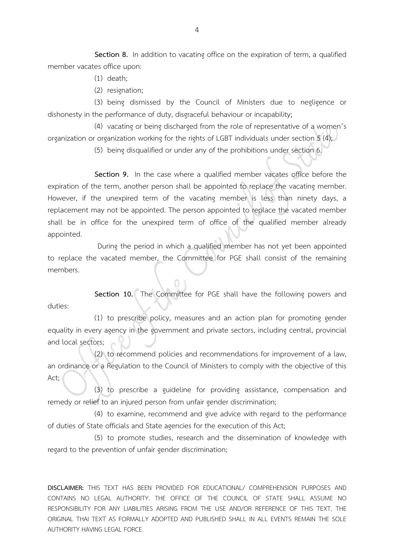**Section 8.** In addition to vacating office on the expiration of term, a qualified member vacates office upon:

- (1) death;
- (2) resignation;

(3) being dismissed by the Council of Ministers due to negligence or dishonesty in the performance of duty, disgraceful behaviour or incapability;

(4) vacating or being discharged from the role of representative of a women's organization or organization working for the rights of LGBT individuals under section 5 (4);

(5) being disqualified or under any of the prohibitions under section 6.

**Section 9.** In the case where a qualified member vacates office before the expiration of the term, another person shall be appointed to replace the vacating member. However, if the unexpired term of the vacating member is less than ninety days, a replacement may not be appointed. The person appointed to replace the vacated member shall be in office for the unexpired term of office of the qualified member already appointed.

During the period in which a qualified member has not yet been appointed to replace the vacated member, the Committee for PGE shall consist of the remaining members.

**Section 10.** The Committee for PGE shall have the following powers and duties:

(1) to prescribe policy, measures and an action plan for promoting gender equality in every agency in the government and private sectors, including central, provincial and local sectors;

(2) to recommend policies and recommendations for improvement of a law, an ordinance or a Regulation to the Council of Ministers to comply with the objective of this Act;

(3) to prescribe a guideline for providing assistance, compensation and remedy or relief to an injured person from unfair gender discrimination;

(4) to examine, recommend and give advice with regard to the performance of duties of State officials and State agencies for the execution of this Act;

(5) to promote studies, research and the dissemination of knowledge with regard to the prevention of unfair gender discrimination;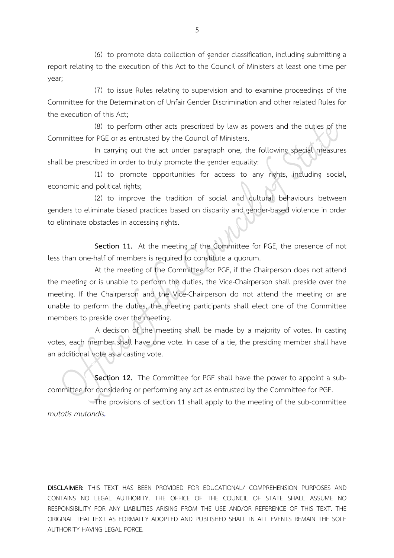(6) to promote data collection of gender classification, including submitting a report relating to the execution of this Act to the Council of Ministers at least one time per year;

(7) to issue Rules relating to supervision and to examine proceedings of the Committee for the Determination of Unfair Gender Discrimination and other related Rules for the execution of this Act;

(8) to perform other acts prescribed by law as powers and the duties of the Committee for PGE or as entrusted by the Council of Ministers.

In carrying out the act under paragraph one, the following special measures shall be prescribed in order to truly promote the gender equality:

(1) to promote opportunities for access to any rights, including social, economic and political rights;

(2) to improve the tradition of social and cultural behaviours between genders to eliminate biased practices based on disparity and gender-based violence in order to eliminate obstacles in accessing rights.

**Section 11.** At the meeting of the Committee for PGE, the presence of not less than one-half of members is required to constitute a quorum.

At the meeting of the Committee for PGE, if the Chairperson does not attend the meeting or is unable to perform the duties, the Vice-Chairperson shall preside over the meeting. If the Chairperson and the Vice-Chairperson do not attend the meeting or are unable to perform the duties, the meeting participants shall elect one of the Committee members to preside over the meeting.

A decision of the meeting shall be made by a majority of votes. In casting votes, each member shall have one vote. In case of a tie, the presiding member shall have an additional vote as a casting vote.

**Section 12.** The Committee for PGE shall have the power to appoint a subcommittee for considering or performing any act as entrusted by the Committee for PGE.

The provisions of section 11 shall apply to the meeting of the sub-committee *mutatis mutandis.*

**DISCLAIMER:** THIS TEXT HAS BEEN PROVIDED FOR EDUCATIONAL/ COMPREHENSION PURPOSES AND CONTAINS NO LEGAL AUTHORITY. THE OFFICE OF THE COUNCIL OF STATE SHALL ASSUME NO RESPONSIBILITY FOR ANY LIABILITIES ARISING FROM THE USE AND/OR REFERENCE OF THIS TEXT. THE ORIGINAL THAI TEXT AS FORMALLY ADOPTED AND PUBLISHED SHALL IN ALL EVENTS REMAIN THE SOLE AUTHORITY HAVING LEGAL FORCE.

5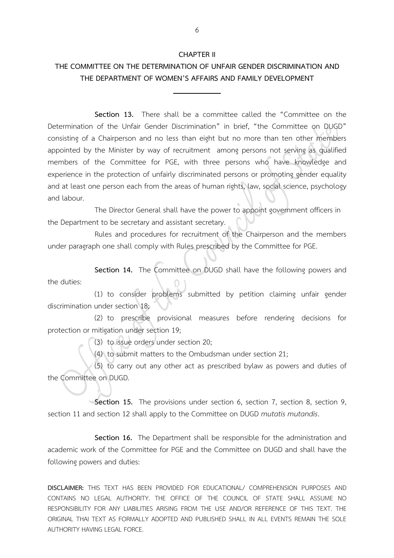#### **CHAPTER II**

# **THE COMMITTEE ON THE DETERMINATION OF UNFAIR GENDER DISCRIMINATION AND THE DEPARTMENT OF WOMEN'S AFFAIRS AND FAMILY DEVELOPMENT**

**Section 13.** There shall be a committee called the "Committee on the Determination of the Unfair Gender Discrimination" in brief, "the Committee on DUGD" consisting of a Chairperson and no less than eight but no more than ten other members appointed by the Minister by way of recruitment among persons not serving as qualified members of the Committee for PGE, with three persons who have knowledge and experience in the protection of unfairly discriminated persons or promoting gender equality and at least one person each from the areas of human rights, law, social science, psychology and labour.

The Director General shall have the power to appoint government officers in the Department to be secretary and assistant secretary.

Rules and procedures for recruitment of the Chairperson and the members under paragraph one shall comply with Rules prescribed by the Committee for PGE.

**Section 14.** The Committee on DUGD shall have the following powers and the duties:

(1) to consider problems submitted by petition claiming unfair gender discrimination under section 18;

(2) to prescribe provisional measures before rendering decisions for protection or mitigation under section 19;

(3) to issue orders under section 20;

(4) to submit matters to the Ombudsman under section 21;

(5) to carry out any other act as prescribed bylaw as powers and duties of the Committee on DUGD.

**Section 15.** The provisions under section 6, section 7, section 8, section 9, section 11 and section 12 shall apply to the Committee on DUGD *mutatis mutandis*.

**Section 16.** The Department shall be responsible for the administration and academic work of the Committee for PGE and the Committee on DUGD and shall have the following powers and duties: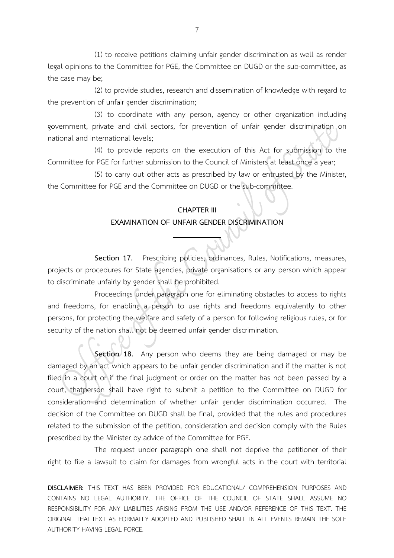(1) to receive petitions claiming unfair gender discrimination as well as render legal opinions to the Committee for PGE, the Committee on DUGD or the sub-committee, as the case may be;

(2) to provide studies, research and dissemination of knowledge with regard to the prevention of unfair gender discrimination;

(3) to coordinate with any person, agency or other organization including government, private and civil sectors, for prevention of unfair gender discrimination on national and international levels;

(4) to provide reports on the execution of this Act for submission to the Committee for PGE for further submission to the Council of Ministers at least once a year;

(5) to carry out other acts as prescribed by law or entrusted by the Minister, the Committee for PGE and the Committee on DUGD or the sub-committee.

## **CHAPTER III EXAMINATION OF UNFAIR GENDER DISCRIMINATION**

Section 17. Prescribing policies, ordinances, Rules, Notifications, measures, projects or procedures for State agencies, private organisations or any person which appear to discriminate unfairly by gender shall be prohibited.

Proceedings under paragraph one for eliminating obstacles to access to rights and freedoms, for enabling a person to use rights and freedoms equivalently to other persons, for protecting the welfare and safety of a person for following religious rules, or for security of the nation shall not be deemed unfair gender discrimination.

**Section 18.** Any person who deems they are being damaged or may be damaged by an act which appears to be unfair gender discrimination and if the matter is not filed in a court or if the final judgment or order on the matter has not been passed by a court, thatperson shall have right to submit a petition to the Committee on DUGD for consideration and determination of whether unfair gender discrimination occurred. The decision of the Committee on DUGD shall be final, provided that the rules and procedures related to the submission of the petition, consideration and decision comply with the Rules prescribed by the Minister by advice of the Committee for PGE.

The request under paragraph one shall not deprive the petitioner of their right to file a lawsuit to claim for damages from wrongful acts in the court with territorial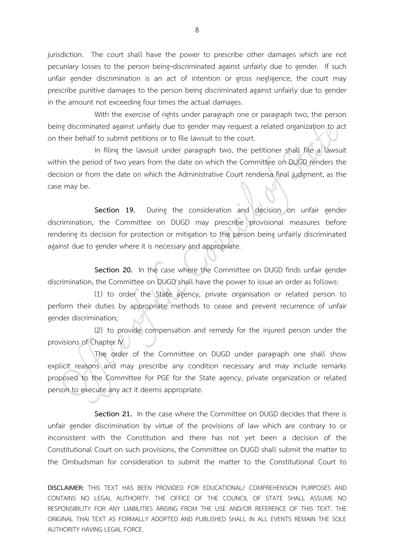jurisdiction. The court shall have the power to prescribe other damages which are not pecuniary losses to the person being-discriminated against unfairly due to gender. If such unfair gender discrimination is an act of intention or gross negligence, the court may prescribe punitive damages to the person being discriminated against unfairly due to gender in the amount not exceeding four times the actual damages.

With the exercise of rights under paragraph one or paragraph two, the person being discriminated against unfairly due to gender may request a related organization to act on their behalf to submit petitions or to file lawsuit to the court.

In filing the lawsuit under paragraph two, the petitioner shall file a lawsuit within the period of two years from the date on which the Committee on DUGD renders the decision or from the date on which the Administrative Court rendersa final judgment, as the case may be.

**Section 19.** During the consideration and decision on unfair gender discrimination, the Committee on DUGD may prescribe provisional measures before rendering its decision for protection or mitigation to the person being unfairly discriminated against due to gender where it is necessary and appropriate.

**Section 20.** In the case where the Committee on DUGD finds unfair gender discrimination, the Committee on DUGD shall have the power to issue an order as follows:

(1) to order the State agency, private organisation or related person to perform their duties by appropriate methods to cease and prevent recurrence of unfair gender discrimination;

(2) to provide compensation and remedy for the injured person under the provisions of Chapter IV.

The order of the Committee on DUGD under paragraph one shall show explicit reasons and may prescribe any condition necessary and may include remarks proposed to the Committee for PGE for the State agency, private organization or related person to execute any act it deems appropriate.

**Section 21.** In the case where the Committee on DUGD decides that there is unfair gender discrimination by virtue of the provisions of law which are contrary to or inconsistent with the Constitution and there has not yet been a decision of the Constitutional Court on such provisions, the Committee on DUGD shall submit the matter to the Ombudsman for consideration to submit the matter to the Constitutional Court to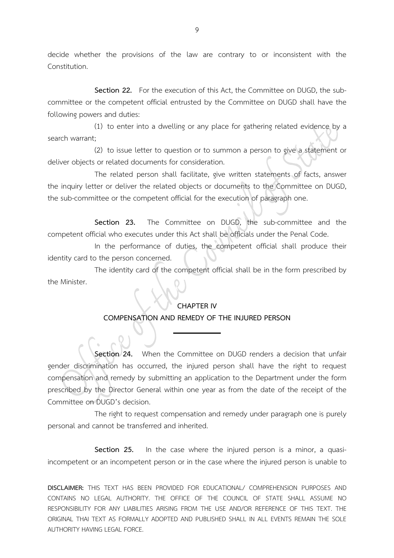decide whether the provisions of the law are contrary to or inconsistent with the Constitution.

**Section 22.** For the execution of this Act, the Committee on DUGD, the subcommittee or the competent official entrusted by the Committee on DUGD shall have the following powers and duties:

(1) to enter into a dwelling or any place for gathering related evidence by a search warrant;

(2) to issue letter to question or to summon a person to give a statement or deliver objects or related documents for consideration.

The related person shall facilitate, give written statements of facts, answer the inquiry letter or deliver the related objects or documents to the Committee on DUGD, the sub-committee or the competent official for the execution of paragraph one.

**Section 23.** The Committee on DUGD, the sub-committee and the competent official who executes under this Act shall be officials under the Penal Code.

In the performance of duties, the competent official shall produce their identity card to the person concerned.

The identity card of the competent official shall be in the form prescribed by the Minister.

#### **CHAPTER IV**

### **COMPENSATION AND REMEDY OF THE INJURED PERSON**

**Section 24.** When the Committee on DUGD renders a decision that unfair gender discrimination has occurred, the injured person shall have the right to request compensation and remedy by submitting an application to the Department under the form prescribed by the Director General within one year as from the date of the receipt of the Committee on DUGD's decision.

The right to request compensation and remedy under paragraph one is purely personal and cannot be transferred and inherited.

**Section 25.** In the case where the injured person is a minor, a quasiincompetent or an incompetent person or in the case where the injured person is unable to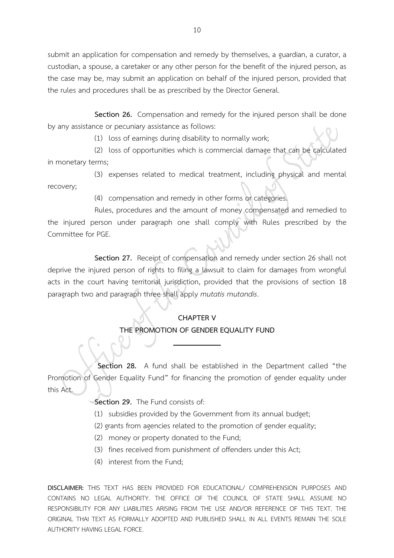submit an application for compensation and remedy by themselves, a guardian, a curator, a custodian, a spouse, a caretaker or any other person for the benefit of the injured person, as the case may be, may submit an application on behalf of the injured person, provided that the rules and procedures shall be as prescribed by the Director General.

**Section 26.** Compensation and remedy for the injured person shall be done by any assistance or pecuniary assistance as follows:

(1) loss of earnings during disability to normally work;

(2) loss of opportunities which is commercial damage that can be calculated in monetary terms;

(3) expenses related to medical treatment, including physical and mental recovery;

(4) compensation and remedy in other forms or categories.

Rules, procedures and the amount of money compensated and remedied to the injured person under paragraph one shall comply with Rules prescribed by the Committee for PGE.

**Section 27.** Receipt of compensation and remedy under section 26 shall not deprive the injured person of rights to filing a lawsuit to claim for damages from wrongful acts in the court having territorial jurisdiction, provided that the provisions of section 18 paragraph two and paragraph three shall apply *mutatis mutandis*.

# **CHAPTER V**

## **THE PROMOTION OF GENDER EQUALITY FUND**

**Section 28.** A fund shall be established in the Department called "the Promotion of Gender Equality Fund" for financing the promotion of gender equality under this Act.

**Section 29.** The Fund consists of:

(1) subsidies provided by the Government from its annual budget;

(2) grants from agencies related to the promotion of gender equality;

- (2) money or property donated to the Fund;
- (3) fines received from punishment of offenders under this Act;
- (4) interest from the Fund;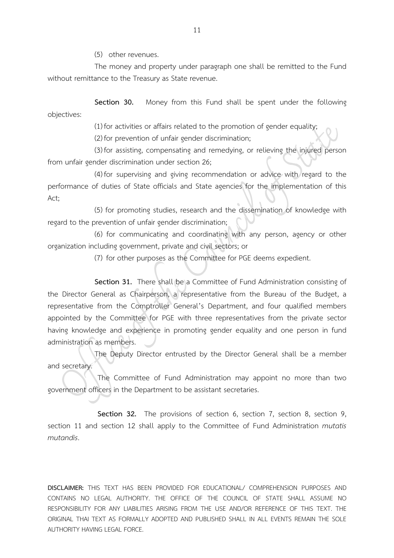(5) other revenues.

The money and property under paragraph one shall be remitted to the Fund without remittance to the Treasury as State revenue.

**Section 30.** Money from this Fund shall be spent under the following objectives:

(1) for activities or affairs related to the promotion of gender equality;

(2) for prevention of unfair gender discrimination;

(3) for assisting, compensating and remedying, or relieving the injured person from unfair gender discrimination under section 26;

(4) for supervising and giving recommendation or advice with regard to the performance of duties of State officials and State agencies for the implementation of this Act;

(5) for promoting studies, research and the dissemination of knowledge with regard to the prevention of unfair gender discrimination;

(6) for communicating and coordinating with any person, agency or other organization including government, private and civil sectors; or

(7) for other purposes as the Committee for PGE deems expedient.

**Section 31.** There shall be a Committee of Fund Administration consisting of the Director General as Chairperson, a representative from the Bureau of the Budget, a representative from the Comptroller General's Department, and four qualified members appointed by the Committee for PGE with three representatives from the private sector having knowledge and experience in promoting gender equality and one person in fund administration as members.

The Deputy Director entrusted by the Director General shall be a member and secretary.

The Committee of Fund Administration may appoint no more than two government officers in the Department to be assistant secretaries.

**Section 32.** The provisions of section 6, section 7, section 8, section 9, section 11 and section 12 shall apply to the Committee of Fund Administration *mutatis mutandis*.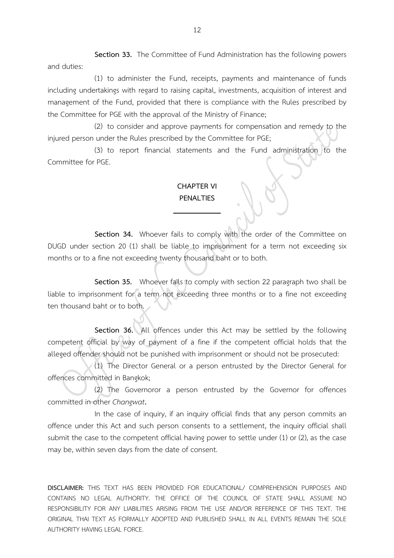**Section 33.** The Committee of Fund Administration has the following powers and duties:

(1) to administer the Fund, receipts, payments and maintenance of funds including undertakings with regard to raising capital, investments, acquisition of interest and management of the Fund, provided that there is compliance with the Rules prescribed by the Committee for PGE with the approval of the Ministry of Finance;

(2) to consider and approve payments for compensation and remedy to the injured person under the Rules prescribed by the Committee for PGE;

(3) to report financial statements and the Fund administration to the Committee for PGE.

## **CHAPTER VI PENALTIES**

**Section 34.** Whoever fails to comply with the order of the Committee on DUGD under section 20 (1) shall be liable to imprisonment for a term not exceeding six months or to a fine not exceeding twenty thousand baht or to both.

**Section 35.** Whoever fails to comply with section 22 paragraph two shall be liable to imprisonment for a term not exceeding three months or to a fine not exceeding ten thousand baht or to both.

**Section 36.** All offences under this Act may be settled by the following competent official by way of payment of a fine if the competent official holds that the alleged offender should not be punished with imprisonment or should not be prosecuted:

(1) The Director General or a person entrusted by the Director General for offences committed in Bangkok;

(2) The Governoror a person entrusted by the Governor for offences committed in other *Changwat***.**

In the case of inquiry, if an inquiry official finds that any person commits an offence under this Act and such person consents to a settlement, the inquiry official shall submit the case to the competent official having power to settle under (1) or (2), as the case may be, within seven days from the date of consent.